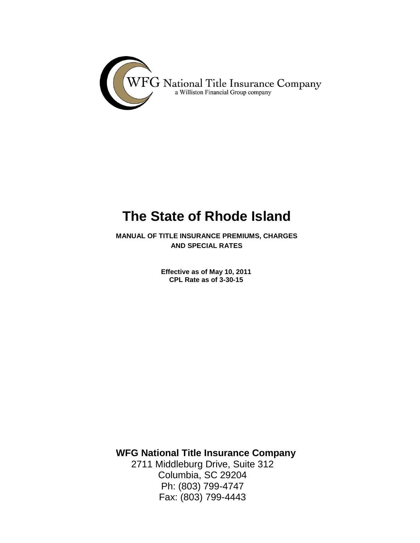

# **The State of Rhode Island**

<span id="page-0-0"></span>**MANUAL OF TITLE INSURANCE PREMIUMS, CHARGES AND SPECIAL RATES**

> **Effective as of May 10, 2011 CPL Rate as of 3-30-15**

**WFG National Title Insurance Company**

2711 Middleburg Drive, Suite 312 Columbia, SC 29204 Ph: (803) 799-4747 Fax: (803) 799-4443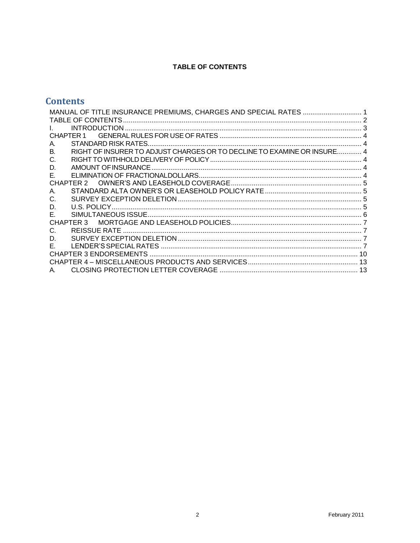# **TABLE OF CONTENTS**

# <span id="page-1-0"></span>**Contents**

| CHAPTER 1                                                                     |
|-------------------------------------------------------------------------------|
| А.                                                                            |
| RIGHT OF INSURER TO ADJUST CHARGES OR TO DECLINE TO EXAMINE OR INSURE 4<br>В. |
| C.                                                                            |
| D.                                                                            |
| Е.                                                                            |
| CHAPTER 2                                                                     |
| А.                                                                            |
| C.                                                                            |
| D.                                                                            |
| Е.                                                                            |
| CHAPTER 3                                                                     |
| C.                                                                            |
| D.                                                                            |
| Е.                                                                            |
|                                                                               |
|                                                                               |
| A                                                                             |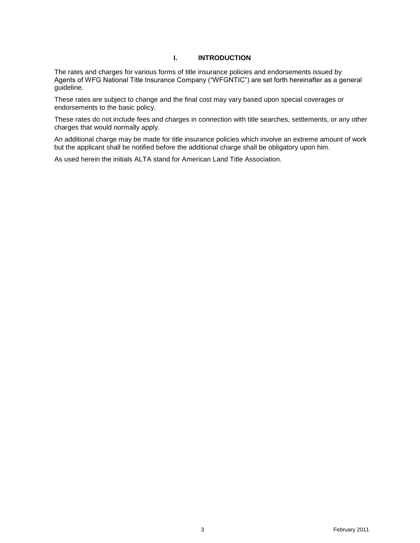# **I. INTRODUCTION**

<span id="page-2-0"></span>The rates and charges for various forms of title insurance policies and endorsements issued by Agents of WFG National Title Insurance Company ("WFGNTIC") are set forth hereinafter as a general guideline.

These rates are subject to change and the final cost may vary based upon special coverages or endorsements to the basic policy.

These rates do not include fees and charges in connection with title searches, settlements, or any other charges that would normally apply.

An additional charge may be made for title insurance policies which involve an extreme amount of work but the applicant shall be notified before the additional charge shall be obligatory upon him.

As used herein the initials ALTA stand for American Land Title Association.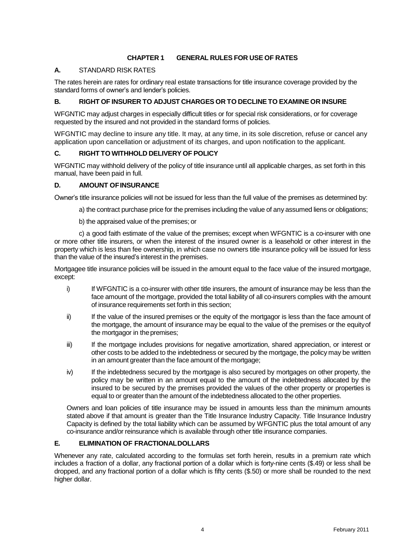#### **CHAPTER 1 GENERAL RULES FOR USE OF RATES**

# <span id="page-3-1"></span><span id="page-3-0"></span>**A.** STANDARD RISK RATES

The rates herein are rates for ordinary real estate transactions for title insurance coverage provided by the standard forms of owner's and lender's policies.

#### <span id="page-3-2"></span>**B. RIGHT OF INSURER TO ADJUST CHARGES OR TO DECLINETO EXAMINE OR INSURE**

WFGNTIC may adjust charges in especially difficult titles or for special risk considerations, or for coverage requested by the insured and not provided in the standard forms of policies.

WFGNTIC may decline to insure any title. It may, at any time, in its sole discretion, refuse or cancel any application upon cancellation or adjustment of its charges, and upon notification to the applicant.

#### <span id="page-3-3"></span>**C. RIGHT TO WITHHOLD DELIVERY OF POLICY**

WFGNTIC may withhold delivery of the policy of title insurance until all applicable charges, as set forth in this manual, have been paid in full.

#### <span id="page-3-4"></span>**D. AMOUNT OFINSURANCE**

Owner's title insurance policies will not be issued for less than the full value of the premises as determined by:

- a) the contract purchase price for the premises including the value of any assumed liens or obligations;
- b) the appraised value of the premises; or

c) a good faith estimate of the value of the premises; except when WFGNTIC is a co-insurer with one or more other title insurers, or when the interest of the insured owner is a leasehold or other interest in the property which is less than fee ownership, in which case no owners title insurance policy will be issued for less than the value of the insured's interest in the premises.

Mortgagee title insurance policies will be issued in the amount equal to the face value of the insured mortgage, except:

- i) If WFGNTIC is a co-insurer with other title insurers, the amount of insurance may be less than the face amount of the mortgage, provided the total liability of all co-insurers complies with the amount of insurance requirements set forth in this section;
- ii) If the value of the insured premises or the equity of the mortgagor is less than the face amount of the mortgage, the amount of insurance may be equal to the value of the premises or the equityof the mortgagor in the premises;
- iii) If the mortgage includes provisions for negative amortization, shared appreciation, or interest or other costs to be added to the indebtedness or secured by the mortgage, the policy may be written in an amount greater than the face amount of the mortgage;
- iv) If the indebtedness secured by the mortgage is also secured by mortgages on other property, the policy may be written in an amount equal to the amount of the indebtedness allocated by the insured to be secured by the premises provided the values of the other property or properties is equal to or greater than the amount of the indebtedness allocated to the other properties.

Owners and loan policies of title insurance may be issued in amounts less than the minimum amounts stated above if that amount is greater than the Title Insurance Industry Capacity. Title Insurance Industry Capacity is defined by the total liability which can be assumed by WFGNTIC plus the total amount of any co-insurance and/or reinsurance which is available through other title insurance companies.

#### <span id="page-3-5"></span>**E. ELIMINATION OF FRACTIONALDOLLARS**

Whenever any rate, calculated according to the formulas set forth herein, results in a premium rate which includes a fraction of a dollar, any fractional portion of a dollar which is forty-nine cents (\$.49) or less shall be dropped, and any fractional portion of a dollar which is fifty cents (\$.50) or more shall be rounded to the next higher dollar.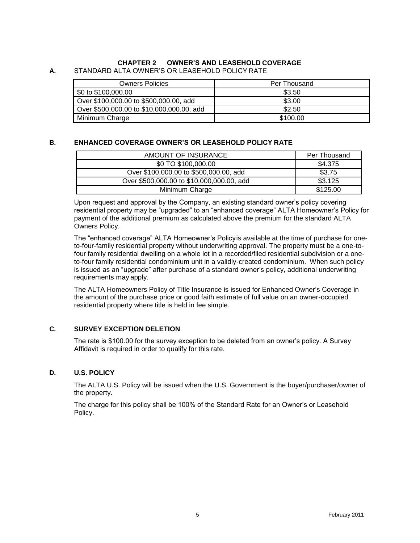# **CHAPTER 2 OWNER'S AND LEASEHOLD COVERAGE**

#### <span id="page-4-1"></span><span id="page-4-0"></span>**A.** STANDARD ALTA OWNER'S OR LEASEHOLD POLICY RATE

| <b>Owners Policies</b>                    | Per Thousand |
|-------------------------------------------|--------------|
| \$0 to \$100,000.00                       | \$3.50       |
| Over \$100,000.00 to \$500,000.00, add    | \$3.00       |
| Over \$500,000.00 to \$10,000,000.00, add | \$2.50       |
| Minimum Charge                            | \$100.00     |

#### **B. ENHANCED COVERAGE OWNER'S OR LEASEHOLD POLICY RATE**

| AMOUNT OF INSURANCE                       | Per Thousand |
|-------------------------------------------|--------------|
| \$0 TO \$100,000.00                       | \$4.375      |
| Over \$100,000.00 to \$500,000.00, add    | \$3.75       |
| Over \$500,000.00 to \$10,000,000.00, add | \$3.125      |
| Minimum Charge                            | \$125.00     |

Upon request and approval by the Company, an existing standard owner's policy covering residential property may be "upgraded" to an "enhanced coverage" ALTA Homeowner's Policy for payment of the additional premium as calculated above the premium for the standard ALTA Owners Policy.

The "enhanced coverage" ALTA Homeowner's Policyis available at the time of purchase for oneto-four-family residential property without underwriting approval. The property must be a one-tofour family residential dwelling on a whole lot in a recorded/filed residential subdivision or a oneto-four family residential condominium unit in a validly-created condominium. When such policy is issued as an "upgrade" after purchase of a standard owner's policy, additional underwriting requirements may apply.

The ALTA Homeowners Policy of Title Insurance is issued for Enhanced Owner's Coverage in the amount of the purchase price or good faith estimate of full value on an owner-occupied residential property where title is held in fee simple.

#### <span id="page-4-2"></span>**C. SURVEY EXCEPTION DELETION**

The rate is \$100.00 for the survey exception to be deleted from an owner's policy. A Survey Affidavit is required in order to qualify for this rate.

#### <span id="page-4-3"></span>**D. U.S. POLICY**

The ALTA U.S. Policy will be issued when the U.S. Government is the buyer/purchaser/owner of the property.

The charge for this policy shall be 100% of the Standard Rate for an Owner's or Leasehold Policy.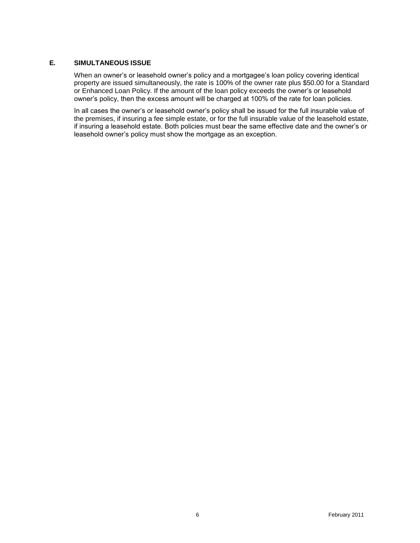#### <span id="page-5-0"></span>**E. SIMULTANEOUS ISSUE**

When an owner's or leasehold owner's policy and a mortgagee's loan policy covering identical property are issued simultaneously, the rate is 100% of the owner rate plus \$50.00 for a Standard or Enhanced Loan Policy. If the amount of the loan policy exceeds the owner's or leasehold owner's policy, then the excess amount will be charged at 100% of the rate for loan policies.

In all cases the owner's or leasehold owner's policy shall be issued for the full insurable value of the premises, if insuring a fee simple estate, or for the full insurable value of the leasehold estate, if insuring a leasehold estate. Both policies must bear the same effective date and the owner's or leasehold owner's policy must show the mortgage as an exception.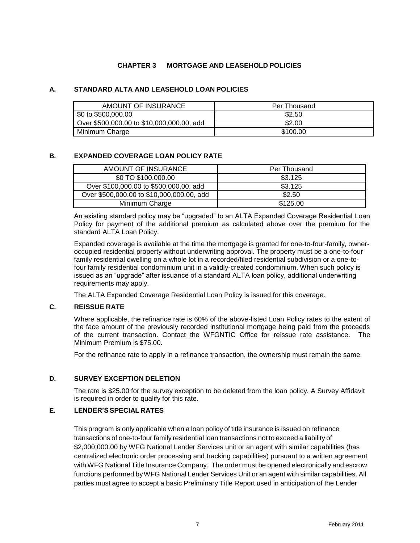### **CHAPTER 3 MORTGAGE AND LEASEHOLD POLICIES**

#### <span id="page-6-0"></span>**A. STANDARD ALTA AND LEASEHOLD LOAN POLICIES**

| AMOUNT OF INSURANCE                       | Per Thousand |
|-------------------------------------------|--------------|
| \$0 to \$500,000.00                       | \$2.50       |
| Over \$500,000.00 to \$10,000,000.00, add | \$2.00       |
| Minimum Charge                            | \$100.00     |

#### **B. EXPANDED COVERAGE LOAN POLICY RATE**

| AMOUNT OF INSURANCE                       | Per Thousand |
|-------------------------------------------|--------------|
| \$0 TO \$100,000.00                       | \$3.125      |
| Over \$100,000.00 to \$500,000.00, add    | \$3.125      |
| Over \$500,000.00 to \$10,000,000.00, add | \$2.50       |
| Minimum Charge                            | \$125.00     |

An existing standard policy may be "upgraded" to an ALTA Expanded Coverage Residential Loan Policy for payment of the additional premium as calculated above over the premium for the standard ALTA Loan Policy.

Expanded coverage is available at the time the mortgage is granted for one-to-four-family, owneroccupied residential property without underwriting approval. The property must be a one-to-four family residential dwelling on a whole lot in a recorded/filed residential subdivision or a one-tofour family residential condominium unit in a validly-created condominium. When such policy is issued as an "upgrade" after issuance of a standard ALTA loan policy, additional underwriting requirements may apply.

The ALTA Expanded Coverage Residential Loan Policy is issued for this coverage.

#### <span id="page-6-1"></span>**C. REISSUE RATE**

Where applicable, the refinance rate is 60% of the above-listed Loan Policy rates to the extent of the face amount of the previously recorded institutional mortgage being paid from the proceeds of the current transaction. Contact the WFGNTIC Office for reissue rate assistance. The Minimum Premium is \$75.00.

For the refinance rate to apply in a refinance transaction, the ownership must remain the same.

#### <span id="page-6-2"></span>**D. SURVEY EXCEPTION DELETION**

The rate is \$25.00 for the survey exception to be deleted from the loan policy. A Survey Affidavit is required in order to qualify for this rate.

#### <span id="page-6-3"></span>**E. LENDER'SSPECIAL RATES**

This program is only applicable when a loan policy of title insurance is issued on refinance transactions of one-to-four family residential loan transactions not to exceed a liability of \$2,000,000.00 by WFG National Lender Services unit or an agent with similar capabilities (has centralized electronic order processing and tracking capabilities) pursuant to a written agreement with WFG National Title Insurance Company. The order must be opened electronically and escrow functions performed byWFG National Lender Services Unit or an agent with similar capabilities. All parties must agree to accept a basic Preliminary Title Report used in anticipation of the Lender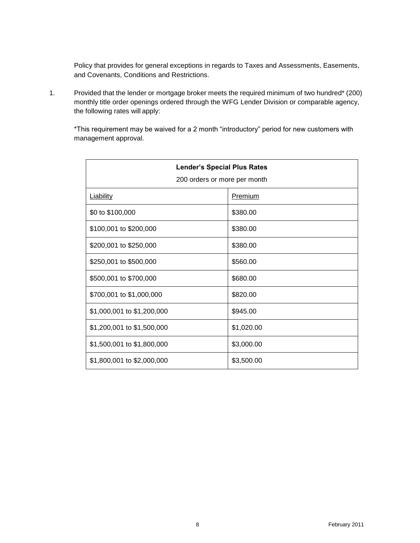Policy that provides for general exceptions in regards to Taxes and Assessments, Easements, and Covenants, Conditions and Restrictions.

1. Provided that the lender or mortgage broker meets the required minimum of two hundred\* (200) monthly title order openings ordered through the WFG Lender Division or comparable agency, the following rates will apply:

\*This requirement may be waived for a 2 month "introductory" period for new customers with management approval.

| <b>Lender's Special Plus Rates</b><br>200 orders or more per month |            |  |
|--------------------------------------------------------------------|------------|--|
| <b>Liability</b>                                                   | Premium    |  |
| \$0 to \$100,000                                                   | \$380.00   |  |
| \$100,001 to \$200,000                                             | \$380.00   |  |
| \$200,001 to \$250,000                                             | \$380.00   |  |
| \$250,001 to \$500,000                                             | \$560.00   |  |
| \$500,001 to \$700,000                                             | \$680.00   |  |
| \$700,001 to \$1,000,000                                           | \$820.00   |  |
| \$1,000,001 to \$1,200,000                                         | \$945.00   |  |
| \$1,200,001 to \$1,500,000                                         | \$1,020.00 |  |
| \$1,500,001 to \$1,800,000                                         | \$3,000.00 |  |
| \$1,800,001 to \$2,000,000                                         | \$3,500.00 |  |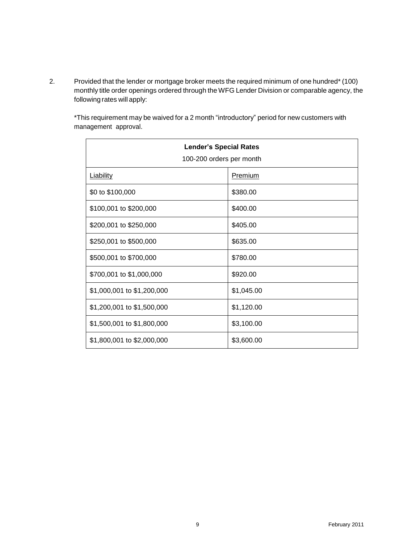2. Provided that the lender or mortgage broker meets the required minimum of one hundred\*(100) monthly title order openings ordered through the WFG Lender Division or comparable agency, the following rates will apply:

\*This requirement may be waived for a 2 month "introductory" period for new customers with management approval.

| <b>Lender's Special Rates</b><br>100-200 orders per month |            |  |
|-----------------------------------------------------------|------------|--|
|                                                           |            |  |
| <b>Liability</b>                                          | Premium    |  |
| \$0 to \$100,000                                          | \$380.00   |  |
| \$100,001 to \$200,000                                    | \$400.00   |  |
| \$200,001 to \$250,000                                    | \$405.00   |  |
| \$250,001 to \$500,000                                    | \$635.00   |  |
| \$500,001 to \$700,000                                    | \$780.00   |  |
| \$700,001 to \$1,000,000                                  | \$920.00   |  |
| \$1,000,001 to \$1,200,000                                | \$1,045.00 |  |
| \$1,200,001 to \$1,500,000                                | \$1,120.00 |  |
| \$1,500,001 to \$1,800,000                                | \$3,100.00 |  |
| \$1,800,001 to \$2,000,000                                | \$3,600.00 |  |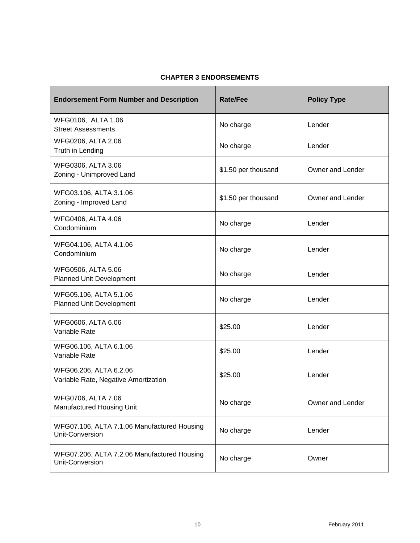# **CHAPTER 3 ENDORSEMENTS**

<span id="page-9-0"></span>

| <b>Endorsement Form Number and Description</b>                 | <b>Rate/Fee</b>     | <b>Policy Type</b> |
|----------------------------------------------------------------|---------------------|--------------------|
| WFG0106, ALTA 1.06<br><b>Street Assessments</b>                | No charge           | Lender             |
| WFG0206, ALTA 2.06<br>Truth in Lending                         | No charge           | Lender             |
| WFG0306, ALTA 3.06<br>Zoning - Unimproved Land                 | \$1.50 per thousand | Owner and Lender   |
| WFG03.106, ALTA 3.1.06<br>Zoning - Improved Land               | \$1.50 per thousand | Owner and Lender   |
| WFG0406, ALTA 4.06<br>Condominium                              | No charge           | Lender             |
| WFG04.106, ALTA 4.1.06<br>Condominium                          | No charge           | Lender             |
| WFG0506, ALTA 5.06<br>Planned Unit Development                 | No charge           | Lender             |
| WFG05.106, ALTA 5.1.06<br>Planned Unit Development             | No charge           | Lender             |
| WFG0606, ALTA 6.06<br>Variable Rate                            | \$25.00             | Lender             |
| WFG06.106, ALTA 6.1.06<br>Variable Rate                        | \$25.00             | Lender             |
| WFG06.206, ALTA 6.2.06<br>Variable Rate, Negative Amortization | \$25.00             | Lender             |
| WFG0706, ALTA 7.06<br>Manufactured Housing Unit                | No charge           | Owner and Lender   |
| WFG07.106, ALTA 7.1.06 Manufactured Housing<br>Unit-Conversion | No charge           | Lender             |
| WFG07.206, ALTA 7.2.06 Manufactured Housing<br>Unit-Conversion | No charge           | Owner              |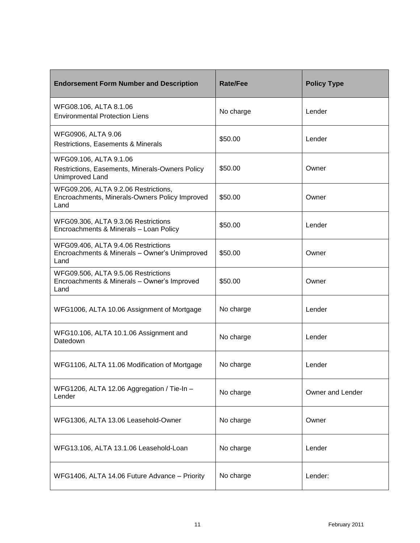| <b>Endorsement Form Number and Description</b>                                                 | Rate/Fee  | <b>Policy Type</b> |
|------------------------------------------------------------------------------------------------|-----------|--------------------|
| WFG08.106, ALTA 8.1.06<br><b>Environmental Protection Liens</b>                                | No charge | Lender             |
| WFG0906, ALTA 9.06<br>Restrictions, Easements & Minerals                                       | \$50.00   | Lender             |
| WFG09.106, ALTA 9.1.06<br>Restrictions, Easements, Minerals-Owners Policy<br>Unimproved Land   | \$50.00   | Owner              |
| WFG09.206, ALTA 9.2.06 Restrictions,<br>Encroachments, Minerals-Owners Policy Improved<br>Land | \$50.00   | Owner              |
| WFG09.306, ALTA 9.3.06 Restrictions<br>Encroachments & Minerals - Loan Policy                  | \$50.00   | Lender             |
| WFG09.406, ALTA 9.4.06 Restrictions<br>Encroachments & Minerals - Owner's Unimproved<br>Land   | \$50.00   | Owner              |
| WFG09.506, ALTA 9.5.06 Restrictions<br>Encroachments & Minerals - Owner's Improved<br>Land     | \$50.00   | Owner              |
| WFG1006, ALTA 10.06 Assignment of Mortgage                                                     | No charge | Lender             |
| WFG10.106, ALTA 10.1.06 Assignment and<br>Datedown                                             | No charge | Lender             |
| WFG1106, ALTA 11.06 Modification of Mortgage                                                   | No charge | Lender             |
| WFG1206, ALTA 12.06 Aggregation / Tie-In -<br>Lender                                           | No charge | Owner and Lender   |
| WFG1306, ALTA 13.06 Leasehold-Owner                                                            | No charge | Owner              |
| WFG13.106, ALTA 13.1.06 Leasehold-Loan                                                         | No charge | Lender             |
| WFG1406, ALTA 14.06 Future Advance - Priority                                                  | No charge | Lender:            |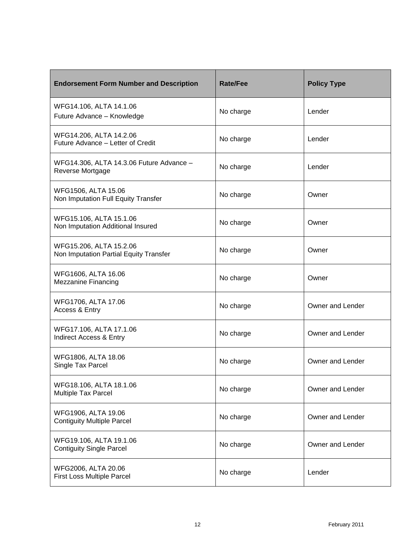| <b>Endorsement Form Number and Description</b>                    | Rate/Fee  | <b>Policy Type</b> |
|-------------------------------------------------------------------|-----------|--------------------|
| WFG14.106, ALTA 14.1.06<br>Future Advance - Knowledge             | No charge | Lender             |
| WFG14.206, ALTA 14.2.06<br>Future Advance - Letter of Credit      | No charge | Lender             |
| WFG14.306, ALTA 14.3.06 Future Advance -<br>Reverse Mortgage      | No charge | Lender             |
| WFG1506, ALTA 15.06<br>Non Imputation Full Equity Transfer        | No charge | Owner              |
| WFG15.106, ALTA 15.1.06<br>Non Imputation Additional Insured      | No charge | Owner              |
| WFG15.206, ALTA 15.2.06<br>Non Imputation Partial Equity Transfer | No charge | Owner              |
| WFG1606, ALTA 16.06<br><b>Mezzanine Financing</b>                 | No charge | Owner              |
| WFG1706, ALTA 17.06<br>Access & Entry                             | No charge | Owner and Lender   |
| WFG17.106, ALTA 17.1.06<br><b>Indirect Access &amp; Entry</b>     | No charge | Owner and Lender   |
| WFG1806, ALTA 18.06<br>Single Tax Parcel                          | No charge | Owner and Lender   |
| WFG18.106, ALTA 18.1.06<br>Multiple Tax Parcel                    | No charge | Owner and Lender   |
| WFG1906, ALTA 19.06<br><b>Contiguity Multiple Parcel</b>          | No charge | Owner and Lender   |
| WFG19.106, ALTA 19.1.06<br><b>Contiguity Single Parcel</b>        | No charge | Owner and Lender   |
| WFG2006, ALTA 20.06<br><b>First Loss Multiple Parcel</b>          | No charge | Lender             |